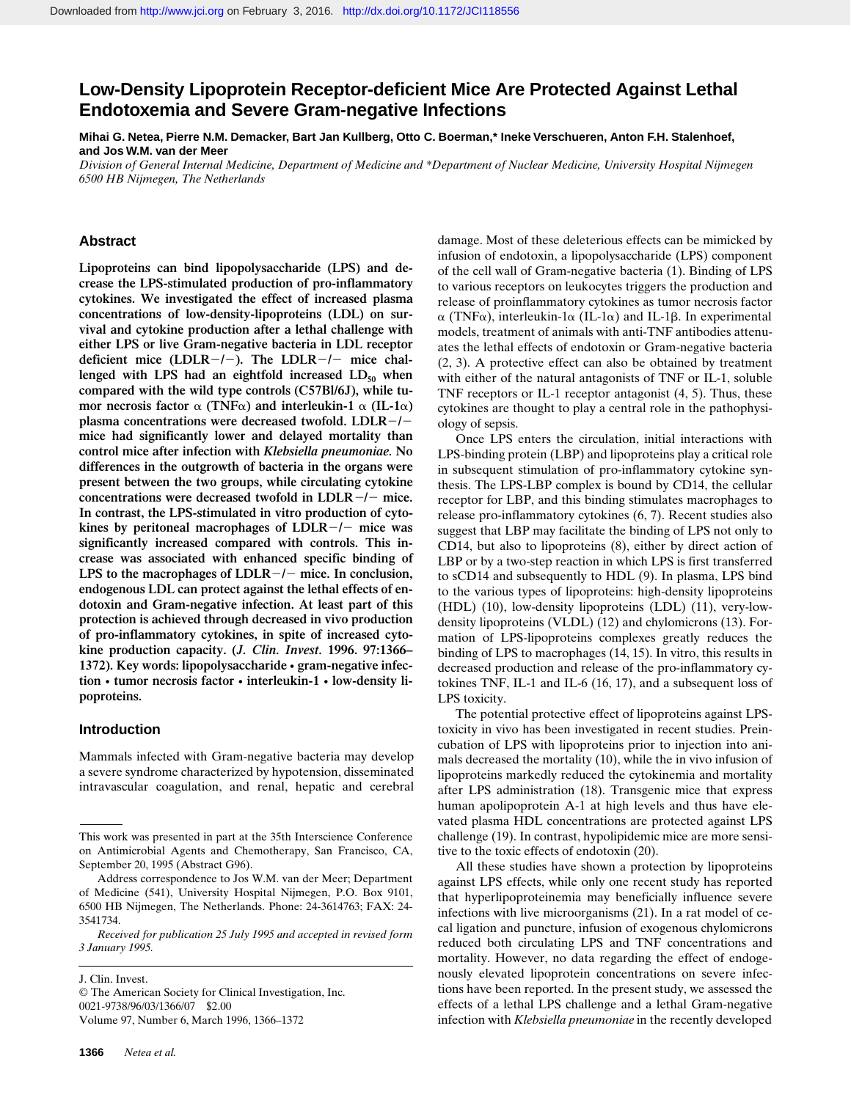# **Low-Density Lipoprotein Receptor-deficient Mice Are Protected Against Lethal Endotoxemia and Severe Gram-negative Infections**

**Mihai G. Netea, Pierre N.M. Demacker, Bart Jan Kullberg, Otto C. Boerman,\* Ineke Verschueren, Anton F.H. Stalenhoef, and Jos W.M. van der Meer**

*Division of General Internal Medicine, Department of Medicine and \*Department of Nuclear Medicine, University Hospital Nijmegen 6500 HB Nijmegen, The Netherlands*

## **Abstract**

**Lipoproteins can bind lipopolysaccharide (LPS) and decrease the LPS-stimulated production of pro-inflammatory cytokines. We investigated the effect of increased plasma concentrations of low-density-lipoproteins (LDL) on survival and cytokine production after a lethal challenge with either LPS or live Gram-negative bacteria in LDL receptor** deficient mice (LDLR-/-). The LDLR-/- mice challenged with LPS had an eightfold increased LD<sub>50</sub> when **compared with the wild type controls (C57Bl/6J), while tumor necrosis factor**  $\alpha$  (TNF $\alpha$ ) and interleukin-1  $\alpha$  (IL-1 $\alpha$ ) **plasma concentrations were decreased twofold. LDLR-/mice had significantly lower and delayed mortality than control mice after infection with** *Klebsiella pneumoniae.* **No differences in the outgrowth of bacteria in the organs were present between the two groups, while circulating cytokine concentrations were decreased twofold in LDLR**<sup> $-/-$ </sup> mice. **In contrast, the LPS-stimulated in vitro production of cytokines by peritoneal macrophages of LDLR**2**/**2 **mice was significantly increased compared with controls. This increase was associated with enhanced specific binding of LPS to the macrophages of LDLR**2**/**2 **mice. In conclusion, endogenous LDL can protect against the lethal effects of endotoxin and Gram-negative infection. At least part of this protection is achieved through decreased in vivo production of pro-inflammatory cytokines, in spite of increased cytokine production capacity. (***J. Clin. Invest.* **1996. 97:1366– 1372). Key words: lipopolysaccharide • gram-negative infection • tumor necrosis factor • interleukin-1 • low-density lipoproteins.**

### **Introduction**

Mammals infected with Gram-negative bacteria may develop a severe syndrome characterized by hypotension, disseminated intravascular coagulation, and renal, hepatic and cerebral

J. Clin. Invest. © The American Society for Clinical Investigation, Inc. 0021-9738/96/03/1366/07 \$2.00 Volume 97, Number 6, March 1996, 1366–1372

damage. Most of these deleterious effects can be mimicked by infusion of endotoxin, a lipopolysaccharide (LPS) component of the cell wall of Gram-negative bacteria (1). Binding of LPS to various receptors on leukocytes triggers the production and release of proinflammatory cytokines as tumor necrosis factor  $\alpha$  (TNF $\alpha$ ), interleukin-1 $\alpha$  (IL-1 $\alpha$ ) and IL-1 $\beta$ . In experimental models, treatment of animals with anti-TNF antibodies attenuates the lethal effects of endotoxin or Gram-negative bacteria (2, 3). A protective effect can also be obtained by treatment with either of the natural antagonists of TNF or IL-1, soluble TNF receptors or IL-1 receptor antagonist (4, 5). Thus, these cytokines are thought to play a central role in the pathophysiology of sepsis.

Once LPS enters the circulation, initial interactions with LPS-binding protein (LBP) and lipoproteins play a critical role in subsequent stimulation of pro-inflammatory cytokine synthesis. The LPS-LBP complex is bound by CD14, the cellular receptor for LBP, and this binding stimulates macrophages to release pro-inflammatory cytokines (6, 7). Recent studies also suggest that LBP may facilitate the binding of LPS not only to CD14, but also to lipoproteins (8), either by direct action of LBP or by a two-step reaction in which LPS is first transferred to sCD14 and subsequently to HDL (9). In plasma, LPS bind to the various types of lipoproteins: high-density lipoproteins (HDL) (10), low-density lipoproteins (LDL) (11), very-lowdensity lipoproteins (VLDL) (12) and chylomicrons (13). Formation of LPS-lipoproteins complexes greatly reduces the binding of LPS to macrophages (14, 15). In vitro, this results in decreased production and release of the pro-inflammatory cytokines TNF, IL-1 and IL-6 (16, 17), and a subsequent loss of LPS toxicity.

The potential protective effect of lipoproteins against LPStoxicity in vivo has been investigated in recent studies. Preincubation of LPS with lipoproteins prior to injection into animals decreased the mortality (10), while the in vivo infusion of lipoproteins markedly reduced the cytokinemia and mortality after LPS administration (18). Transgenic mice that express human apolipoprotein A-1 at high levels and thus have elevated plasma HDL concentrations are protected against LPS challenge (19). In contrast, hypolipidemic mice are more sensitive to the toxic effects of endotoxin (20).

All these studies have shown a protection by lipoproteins against LPS effects, while only one recent study has reported that hyperlipoproteinemia may beneficially influence severe infections with live microorganisms (21). In a rat model of cecal ligation and puncture, infusion of exogenous chylomicrons reduced both circulating LPS and TNF concentrations and mortality. However, no data regarding the effect of endogenously elevated lipoprotein concentrations on severe infections have been reported. In the present study, we assessed the effects of a lethal LPS challenge and a lethal Gram-negative infection with *Klebsiella pneumoniae* in the recently developed

This work was presented in part at the 35th Interscience Conference on Antimicrobial Agents and Chemotherapy, San Francisco, CA, September 20, 1995 (Abstract G96).

Address correspondence to Jos W.M. van der Meer; Department of Medicine (541), University Hospital Nijmegen, P.O. Box 9101, 6500 HB Nijmegen, The Netherlands. Phone: 24-3614763; FAX: 24- 3541734.

*Received for publication 25 July 1995 and accepted in revised form 3 January 1995.*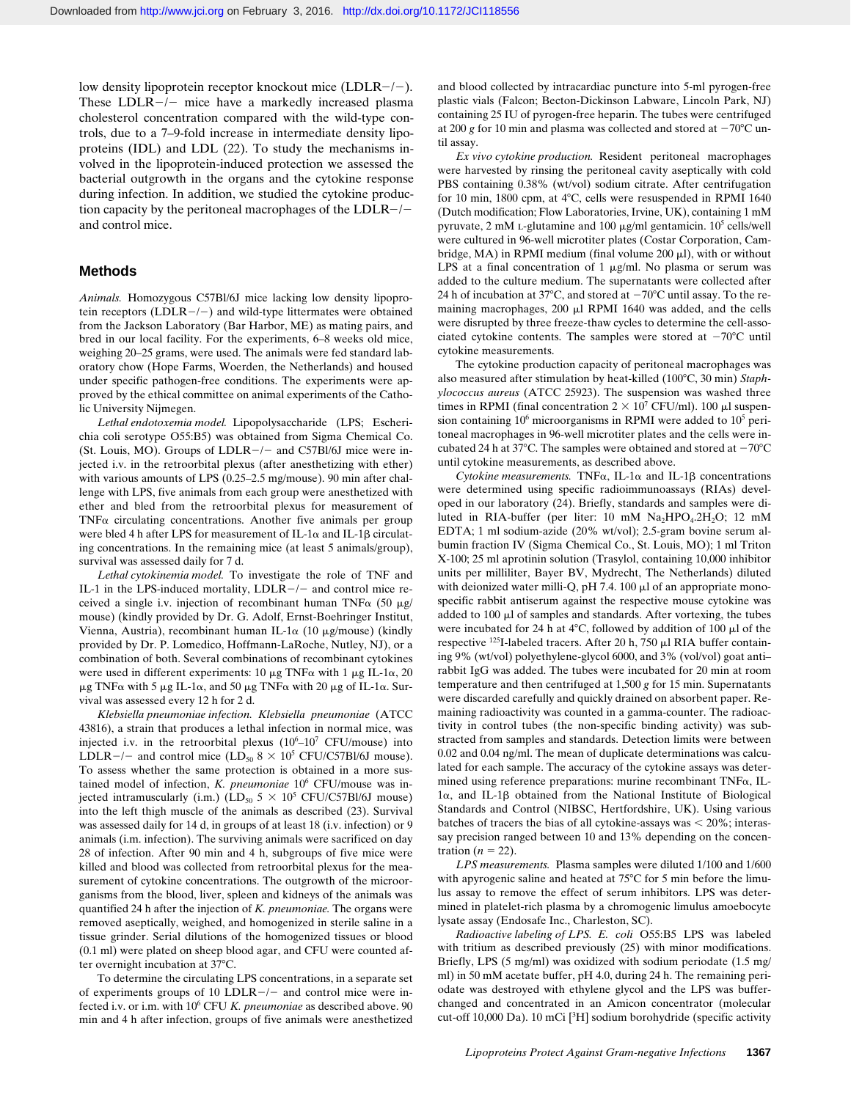low density lipoprotein receptor knockout mice (LDLR $-/-$ ). These  $LDLR-/-$  mice have a markedly increased plasma cholesterol concentration compared with the wild-type controls, due to a 7–9-fold increase in intermediate density lipoproteins (IDL) and LDL (22). To study the mechanisms involved in the lipoprotein-induced protection we assessed the bacterial outgrowth in the organs and the cytokine response during infection. In addition, we studied the cytokine production capacity by the peritoneal macrophages of the  $LDLR-/$ and control mice.

#### **Methods**

*Animals.* Homozygous C57Bl/6J mice lacking low density lipoprotein receptors (LDLR $-/-$ ) and wild-type littermates were obtained from the Jackson Laboratory (Bar Harbor, ME) as mating pairs, and bred in our local facility. For the experiments, 6–8 weeks old mice, weighing 20–25 grams, were used. The animals were fed standard laboratory chow (Hope Farms, Woerden, the Netherlands) and housed under specific pathogen-free conditions. The experiments were approved by the ethical committee on animal experiments of the Catholic University Nijmegen.

*Lethal endotoxemia model.* Lipopolysaccharide (LPS; Escherichia coli serotype O55:B5) was obtained from Sigma Chemical Co. (St. Louis, MO). Groups of  $LDLR-/-$  and C57Bl/6J mice were injected i.v. in the retroorbital plexus (after anesthetizing with ether) with various amounts of LPS (0.25–2.5 mg/mouse). 90 min after challenge with LPS, five animals from each group were anesthetized with ether and bled from the retroorbital plexus for measurement of  $TNF\alpha$  circulating concentrations. Another five animals per group were bled 4 h after LPS for measurement of IL-1 $\alpha$  and IL-1 $\beta$  circulating concentrations. In the remaining mice (at least 5 animals/group), survival was assessed daily for 7 d.

*Lethal cytokinemia model.* To investigate the role of TNF and IL-1 in the LPS-induced mortality,  $LDLR-/-$  and control mice received a single i.v. injection of recombinant human TNF $\alpha$  (50  $\mu$ g/ mouse) (kindly provided by Dr. G. Adolf, Ernst-Boehringer Institut, Vienna, Austria), recombinant human IL-1 $\alpha$  (10  $\mu$ g/mouse) (kindly provided by Dr. P. Lomedico, Hoffmann-LaRoche, Nutley, NJ), or a combination of both. Several combinations of recombinant cytokines were used in different experiments: 10  $\mu$ g TNF $\alpha$  with 1  $\mu$ g IL-1 $\alpha$ , 20 μg TNFα with 5 μg IL-1α, and 50 μg TNFα with 20 μg of IL-1α. Survival was assessed every 12 h for 2 d.

*Klebsiella pneumoniae infection. Klebsiella pneumoniae* (ATCC 43816), a strain that produces a lethal infection in normal mice, was injected i.v. in the retroorbital plexus  $(10^6-10^7 \text{ CFU/mouse})$  into LDLR-/- and control mice  $(LD<sub>50</sub> 8 \times 10<sup>5</sup> CFU/C57Bl/6J$  mouse). To assess whether the same protection is obtained in a more sustained model of infection, *K. pneumoniae* 10<sup>6</sup> CFU/mouse was injected intramuscularly (i.m.) (LD<sub>50</sub>  $5 \times 10^5$  CFU/C57Bl/6J mouse) into the left thigh muscle of the animals as described (23). Survival was assessed daily for 14 d, in groups of at least 18 (i.v. infection) or 9 animals (i.m. infection). The surviving animals were sacrificed on day 28 of infection. After 90 min and 4 h, subgroups of five mice were killed and blood was collected from retroorbital plexus for the measurement of cytokine concentrations. The outgrowth of the microorganisms from the blood, liver, spleen and kidneys of the animals was quantified 24 h after the injection of *K. pneumoniae.* The organs were removed aseptically, weighed, and homogenized in sterile saline in a tissue grinder. Serial dilutions of the homogenized tissues or blood (0.1 ml) were plated on sheep blood agar, and CFU were counted after overnight incubation at 37°C.

To determine the circulating LPS concentrations, in a separate set of experiments groups of 10 LDLR $-/-$  and control mice were infected i.v. or i.m. with 10<sup>6</sup> CFU *K. pneumoniae* as described above. 90 min and 4 h after infection, groups of five animals were anesthetized and blood collected by intracardiac puncture into 5-ml pyrogen-free plastic vials (Falcon; Becton-Dickinson Labware, Lincoln Park, NJ) containing 25 IU of pyrogen-free heparin. The tubes were centrifuged at 200 *g* for 10 min and plasma was collected and stored at  $-70^{\circ}$ C until assay.

*Ex vivo cytokine production.* Resident peritoneal macrophages were harvested by rinsing the peritoneal cavity aseptically with cold PBS containing 0.38% (wt/vol) sodium citrate. After centrifugation for 10 min, 1800 cpm, at 4°C, cells were resuspended in RPMI 1640 (Dutch modification; Flow Laboratories, Irvine, UK), containing 1 mM pyruvate,  $2 \text{ mM } L$ -glutamine and  $100 \mu g/ml$  gentamicin.  $10^5$  cells/well were cultured in 96-well microtiter plates (Costar Corporation, Cambridge, MA) in RPMI medium (final volume  $200 \mu$ I), with or without LPS at a final concentration of 1  $\mu$ g/ml. No plasma or serum was added to the culture medium. The supernatants were collected after 24 h of incubation at 37°C, and stored at  $-70$ °C until assay. To the remaining macrophages,  $200 \mu$ l RPMI 1640 was added, and the cells were disrupted by three freeze-thaw cycles to determine the cell-associated cytokine contents. The samples were stored at  $-70^{\circ}$ C until cytokine measurements.

The cytokine production capacity of peritoneal macrophages was also measured after stimulation by heat-killed (100°C, 30 min) *Staphylococcus aureus* (ATCC 25923). The suspension was washed three times in RPMI (final concentration  $2 \times 10^7$  CFU/ml). 100  $\mu$ l suspension containing 10<sup>6</sup> microorganisms in RPMI were added to 10<sup>5</sup> peritoneal macrophages in 96-well microtiter plates and the cells were incubated 24 h at 37°C. The samples were obtained and stored at  $-70^{\circ}$ C until cytokine measurements, as described above.

 $C$ ytokine measurements. TNF $\alpha$ , IL-1 $\alpha$  and IL-1 $\beta$  concentrations were determined using specific radioimmunoassays (RIAs) developed in our laboratory (24). Briefly, standards and samples were diluted in RIA-buffer (per liter: 10 mM  $Na<sub>2</sub>HPO<sub>4</sub>$ .2H<sub>2</sub>O; 12 mM EDTA; 1 ml sodium-azide (20% wt/vol); 2.5-gram bovine serum albumin fraction IV (Sigma Chemical Co., St. Louis, MO); 1 ml Triton X-100; 25 ml aprotinin solution (Trasylol, containing 10,000 inhibitor units per milliliter, Bayer BV, Mydrecht, The Netherlands) diluted with deionized water milli-Q, pH 7.4.  $100 \mu$ l of an appropriate monospecific rabbit antiserum against the respective mouse cytokine was added to  $100 \mu l$  of samples and standards. After vortexing, the tubes were incubated for 24 h at  $4^{\circ}$ C, followed by addition of 100  $\mu$ l of the respective  $^{125}$ I-labeled tracers. After 20 h, 750  $\mu$ l RIA buffer containing 9% (wt/vol) polyethylene-glycol 6000, and 3% (vol/vol) goat anti– rabbit IgG was added. The tubes were incubated for 20 min at room temperature and then centrifuged at 1,500 *g* for 15 min. Supernatants were discarded carefully and quickly drained on absorbent paper. Remaining radioactivity was counted in a gamma-counter. The radioactivity in control tubes (the non-specific binding activity) was substracted from samples and standards. Detection limits were between 0.02 and 0.04 ng/ml. The mean of duplicate determinations was calculated for each sample. The accuracy of the cytokine assays was determined using reference preparations: murine recombinant  $TNF\alpha$ , IL- $1\alpha$ , and IL-1 $\beta$  obtained from the National Institute of Biological Standards and Control (NIBSC, Hertfordshire, UK). Using various batches of tracers the bias of all cytokine-assays was  $<$  20%; interassay precision ranged between 10 and 13% depending on the concentration  $(n = 22)$ .

*LPS measurements.* Plasma samples were diluted 1/100 and 1/600 with apyrogenic saline and heated at  $75^{\circ}$ C for 5 min before the limulus assay to remove the effect of serum inhibitors. LPS was determined in platelet-rich plasma by a chromogenic limulus amoebocyte lysate assay (Endosafe Inc., Charleston, SC).

*Radioactive labeling of LPS. E. coli* O55:B5 LPS was labeled with tritium as described previously (25) with minor modifications. Briefly, LPS (5 mg/ml) was oxidized with sodium periodate (1.5 mg/ ml) in 50 mM acetate buffer, pH 4.0, during 24 h. The remaining periodate was destroyed with ethylene glycol and the LPS was bufferchanged and concentrated in an Amicon concentrator (molecular cut-off 10,000 Da). 10 mCi  $[{}^{3}H]$  sodium borohydride (specific activity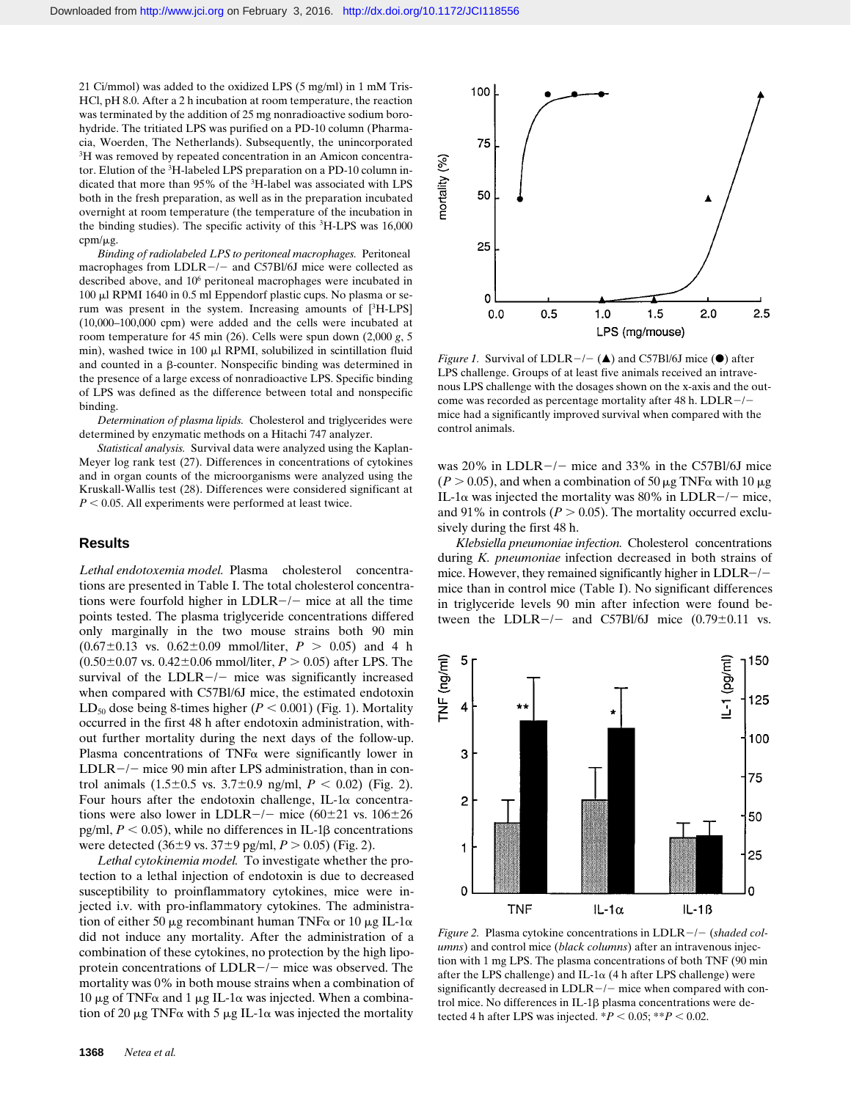21 Ci/mmol) was added to the oxidized LPS (5 mg/ml) in 1 mM Tris-HCl, pH 8.0. After a 2 h incubation at room temperature, the reaction was terminated by the addition of 25 mg nonradioactive sodium borohydride. The tritiated LPS was purified on a PD-10 column (Pharmacia, Woerden, The Netherlands). Subsequently, the unincorporated <sup>3</sup>H was removed by repeated concentration in an Amicon concentrator. Elution of the 3H-labeled LPS preparation on a PD-10 column indicated that more than 95% of the <sup>3</sup>H-label was associated with LPS both in the fresh preparation, as well as in the preparation incubated overnight at room temperature (the temperature of the incubation in the binding studies). The specific activity of this <sup>3</sup>H-LPS was 16,000 cpm/ $\mu$ g.

*Binding of radiolabeled LPS to peritoneal macrophages.* Peritoneal macrophages from  $LDLR-/-$  and C57Bl/6J mice were collected as described above, and 10<sup>6</sup> peritoneal macrophages were incubated in 100 ml RPMI 1640 in 0.5 ml Eppendorf plastic cups. No plasma or serum was present in the system. Increasing amounts of  $[^3H-LPS]$ (10,000–100,000 cpm) were added and the cells were incubated at room temperature for 45 min (26). Cells were spun down (2,000 *g*, 5 min), washed twice in  $100 \mu$ l RPMI, solubilized in scintillation fluid and counted in a  $\beta$ -counter. Nonspecific binding was determined in the presence of a large excess of nonradioactive LPS. Specific binding of LPS was defined as the difference between total and nonspecific binding.

*Determination of plasma lipids.* Cholesterol and triglycerides were determined by enzymatic methods on a Hitachi 747 analyzer.

*Statistical analysis.* Survival data were analyzed using the Kaplan-Meyer log rank test (27). Differences in concentrations of cytokines and in organ counts of the microorganisms were analyzed using the Kruskall-Wallis test (28). Differences were considered significant at  $P < 0.05$ . All experiments were performed at least twice.

# **Results**

*Lethal endotoxemia model.* Plasma cholesterol concentrations are presented in Table I. The total cholesterol concentrations were fourfold higher in  $LDLR-/-$  mice at all the time points tested. The plasma triglyceride concentrations differed only marginally in the two mouse strains both 90 min  $(0.67\pm0.13 \text{ vs. } 0.62\pm0.09 \text{ mmol/liter}, P > 0.05)$  and 4 h  $(0.50\pm0.07 \text{ vs. } 0.42\pm0.06 \text{ mmol/liter}, P > 0.05)$  after LPS. The survival of the  $LDLR-/-$  mice was significantly increased when compared with C57Bl/6J mice, the estimated endotoxin LD<sub>50</sub> dose being 8-times higher ( $P < 0.001$ ) (Fig. 1). Mortality occurred in the first 48 h after endotoxin administration, without further mortality during the next days of the follow-up. Plasma concentrations of TNF $\alpha$  were significantly lower in  $LDLR-/-$  mice 90 min after LPS administration, than in control animals  $(1.5\pm0.5 \text{ vs. } 3.7\pm0.9 \text{ ng/ml}, P < 0.02)$  (Fig. 2). Four hours after the endotoxin challenge, IL-1 $\alpha$  concentrations were also lower in LDLR $-/-$  mice (60 $\pm$ 21 vs. 106 $\pm$ 26 pg/ml,  $P < 0.05$ ), while no differences in IL-1 $\beta$  concentrations were detected  $(36\pm9 \text{ vs. } 37\pm9 \text{ pg/ml}, P > 0.05)$  (Fig. 2).

*Lethal cytokinemia model.* To investigate whether the protection to a lethal injection of endotoxin is due to decreased susceptibility to proinflammatory cytokines, mice were injected i.v. with pro-inflammatory cytokines. The administration of either 50  $\mu$ g recombinant human TNF $\alpha$  or 10  $\mu$ g IL-1 $\alpha$ did not induce any mortality. After the administration of a combination of these cytokines, no protection by the high lipoprotein concentrations of  $LDLR-/-$  mice was observed. The mortality was 0% in both mouse strains when a combination of 10 μg of TNF $\alpha$  and 1 μg IL-1 $\alpha$  was injected. When a combination of 20  $\mu$ g TNF $\alpha$  with 5  $\mu$ g IL-1 $\alpha$  was injected the mortality



*Figure 1.* Survival of LDLR $-/-$  ( $\triangle$ ) and C57Bl/6J mice ( $\odot$ ) after LPS challenge. Groups of at least five animals received an intravenous LPS challenge with the dosages shown on the x-axis and the outcome was recorded as percentage mortality after 48 h. LDLR $-/$ mice had a significantly improved survival when compared with the control animals.

was 20% in LDLR $-/-$  mice and 33% in the C57Bl/6J mice  $(P > 0.05)$ , and when a combination of 50  $\mu$ g TNF $\alpha$  with 10  $\mu$ g IL-1 $\alpha$  was injected the mortality was 80% in LDLR-/- mice, and 91% in controls ( $P > 0.05$ ). The mortality occurred exclusively during the first 48 h.

*Klebsiella pneumoniae infection.* Cholesterol concentrations during *K. pneumoniae* infection decreased in both strains of mice. However, they remained significantly higher in  $LDLR-/$ mice than in control mice (Table I). No significant differences in triglyceride levels 90 min after infection were found between the LDLR $-/-$  and C57Bl/6J mice (0.79 $\pm$ 0.11 vs.



*Figure 2.* Plasma cytokine concentrations in LDLR-/- (shaded col*umns*) and control mice (*black columns*) after an intravenous injection with 1 mg LPS. The plasma concentrations of both TNF (90 min after the LPS challenge) and IL-1 $\alpha$  (4 h after LPS challenge) were significantly decreased in  $LDLR-/-$  mice when compared with control mice. No differences in  $IL-1\beta$  plasma concentrations were detected 4 h after LPS was injected.  $*P < 0.05$ ;  $**P < 0.02$ .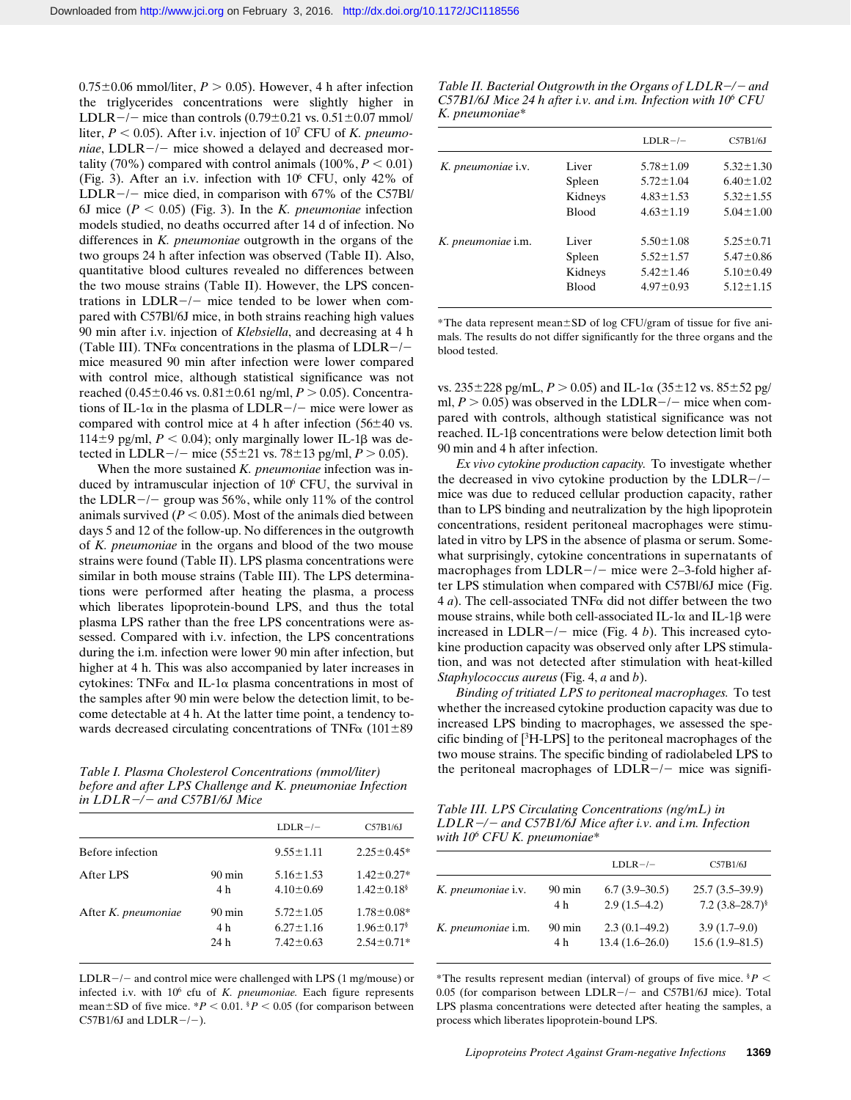$0.75\pm0.06$  mmol/liter,  $P > 0.05$ ). However, 4 h after infection the triglycerides concentrations were slightly higher in LDLR $-/-$  mice than controls (0.79 $\pm$ 0.21 vs. 0.51 $\pm$ 0.07 mmol/ liter,  $P < 0.05$ ). After i.v. injection of  $10<sup>7</sup>$  CFU of *K. pneumoniae*,  $LDLR-/-$  mice showed a delayed and decreased mortality (70%) compared with control animals  $(100\%, P < 0.01)$ (Fig. 3). After an i.v. infection with  $10^6$  CFU, only 42% of LDLR $-/-$  mice died, in comparison with 67% of the C57Bl/ 6J mice  $(P < 0.05)$  (Fig. 3). In the *K. pneumoniae* infection models studied, no deaths occurred after 14 d of infection. No differences in *K. pneumoniae* outgrowth in the organs of the two groups 24 h after infection was observed (Table II). Also, quantitative blood cultures revealed no differences between the two mouse strains (Table II). However, the LPS concentrations in  $LDLR-/-$  mice tended to be lower when compared with C57Bl/6J mice, in both strains reaching high values 90 min after i.v. injection of *Klebsiella*, and decreasing at 4 h (Table III). TNF $\alpha$  concentrations in the plasma of LDLR-/mice measured 90 min after infection were lower compared with control mice, although statistical significance was not reached (0.45 $\pm$ 0.46 vs. 0.81 $\pm$ 0.61 ng/ml, *P* > 0.05). Concentrations of IL-1 $\alpha$  in the plasma of LDLR-/- mice were lower as compared with control mice at 4 h after infection  $(56\pm 40 \text{ vs.})$ 114 $\pm$ 9 pg/ml,  $P < 0.04$ ); only marginally lower IL-1 $\beta$  was detected in LDLR $-/-$  mice (55 $\pm$ 21 vs. 78 $\pm$ 13 pg/ml, *P*  $> 0.05$ ).

When the more sustained *K. pneumoniae* infection was induced by intramuscular injection of  $10<sup>6</sup>$  CFU, the survival in the LDLR $-/-$  group was 56%, while only 11% of the control animals survived  $(P < 0.05)$ . Most of the animals died between days 5 and 12 of the follow-up. No differences in the outgrowth of *K. pneumoniae* in the organs and blood of the two mouse strains were found (Table II). LPS plasma concentrations were similar in both mouse strains (Table III). The LPS determinations were performed after heating the plasma, a process which liberates lipoprotein-bound LPS, and thus the total plasma LPS rather than the free LPS concentrations were assessed. Compared with i.v. infection, the LPS concentrations during the i.m. infection were lower 90 min after infection, but higher at 4 h. This was also accompanied by later increases in cytokines: TNF $\alpha$  and IL-1 $\alpha$  plasma concentrations in most of the samples after 90 min were below the detection limit, to become detectable at 4 h. At the latter time point, a tendency towards decreased circulating concentrations of TNF $\alpha$  (101 $\pm$ 89

*before and after LPS Challenge and K. pneumoniae Infection in LDLR*2*/*2 *and C57B1/6J Mice*

|                     |                                 | $LDLR-/-$                                             | C57B1/6J                                                             |
|---------------------|---------------------------------|-------------------------------------------------------|----------------------------------------------------------------------|
| Before infection    |                                 | $9.55 \pm 1.11$                                       | $2.25 \pm 0.45*$                                                     |
| After LPS           | $90 \text{ min}$<br>4 h         | $5.16 \pm 1.53$<br>$4.10 \pm 0.69$                    | $1.42 \pm 0.27*$<br>$1.42 \pm 0.18$ <sup>§</sup>                     |
| After K. pneumoniae | $90 \text{ min}$<br>4 h<br>24 h | $5.72 \pm 1.05$<br>$6.27 \pm 1.16$<br>$7.42 \pm 0.63$ | $1.78 \pm 0.08*$<br>$1.96 \pm 0.17$ <sup>§</sup><br>$2.54 \pm 0.71*$ |

LDLR $-/-$  and control mice were challenged with LPS (1 mg/mouse) or infected i.v. with 10<sup>6</sup> cfu of *K. pneumoniae*. Each figure represents mean $\pm$ SD of five mice. \**P* < 0.01. <sup>§</sup>*P* < 0.05 (for comparison between C57B1/6J and LDLR $-/-$ ).

*Table II. Bacterial Outgrowth in the Organs of LDLR-/- and C57B1/6J Mice 24 h after i.v. and i.m. Infection with 10<sup>6</sup> CFU K. pneumoniae\**

|                    |              | $LDLR-/-$       | C57B1/6J        |
|--------------------|--------------|-----------------|-----------------|
| K. pneumoniae i.v. | Liver        | $5.78 \pm 1.09$ | $5.32 \pm 1.30$ |
|                    | Spleen       | $5.72 \pm 1.04$ | $6.40 \pm 1.02$ |
|                    | Kidneys      | $4.83 \pm 1.53$ | $5.32 \pm 1.55$ |
|                    | <b>Blood</b> | $4.63 \pm 1.19$ | $5.04 \pm 1.00$ |
| K. pneumoniae i.m. | Liver        | $5.50 \pm 1.08$ | $5.25 \pm 0.71$ |
|                    | Spleen       | $5.52 \pm 1.57$ | $5.47 \pm 0.86$ |
|                    | Kidneys      | $5.42 \pm 1.46$ | $5.10 \pm 0.49$ |
|                    | <b>Blood</b> | $4.97 \pm 0.93$ | $5.12 \pm 1.15$ |
|                    |              |                 |                 |

\*The data represent mean $\pm$ SD of log CFU/gram of tissue for five animals. The results do not differ significantly for the three organs and the blood tested.

vs.  $235 \pm 228$  pg/mL,  $P > 0.05$ ) and IL-1 $\alpha$  ( $35 \pm 12$  vs.  $85 \pm 52$  pg/ ml,  $P > 0.05$ ) was observed in the LDLR $-/-$  mice when compared with controls, although statistical significance was not reached. IL-1b concentrations were below detection limit both 90 min and 4 h after infection.

*Ex vivo cytokine production capacity.* To investigate whether the decreased in vivo cytokine production by the  $LDLR-/$ mice was due to reduced cellular production capacity, rather than to LPS binding and neutralization by the high lipoprotein concentrations, resident peritoneal macrophages were stimulated in vitro by LPS in the absence of plasma or serum. Somewhat surprisingly, cytokine concentrations in supernatants of macrophages from  $LDLR-/-$  mice were 2–3-fold higher after LPS stimulation when compared with C57Bl/6J mice (Fig. 4 *a*). The cell-associated TNFa did not differ between the two mouse strains, while both cell-associated IL-1 $\alpha$  and IL-1 $\beta$  were increased in  $LDLR-/-$  mice (Fig. 4 *b*). This increased cytokine production capacity was observed only after LPS stimulation, and was not detected after stimulation with heat-killed *Staphylococcus aureus* (Fig. 4, *a* and *b*).

*Binding of tritiated LPS to peritoneal macrophages.* To test whether the increased cytokine production capacity was due to increased LPS binding to macrophages, we assessed the specific binding of  $[{}^{3}H$ -LPS] to the peritoneal macrophages of the two mouse strains. The specific binding of radiolabeled LPS to *Table I. Plasma Cholesterol Concentrations (mmol/liter)* the peritoneal macrophages of LDLR-/- mice was signifi-

*Table III. LPS Circulating Concentrations (ng/mL) in LDLR*2*/*2 *and C57B1/6J Mice after i.v. and i.m. Infection with 10<sup>6</sup> CFU K. pneumoniae\**

|                    |                  | $LDLR-/-$        | C57B1/6J             |
|--------------------|------------------|------------------|----------------------|
| K. pneumoniae i.v. | $90 \text{ min}$ | $6.7(3.9-30.5)$  | $25.7(3.5-39.9)$     |
|                    | 4 h              | $2.9(1.5-4.2)$   | 7.2 $(3.8-28.7)^{8}$ |
| K. pneumoniae i.m. | $90 \text{ min}$ | $2.3(0.1-49.2)$  | $3.9(1.7-9.0)$       |
|                    | 4 h              | $13.4(1.6-26.0)$ | $15.6(1.9 - 81.5)$   |

\*The results represent median (interval) of groups of five mice.  $P$  <  $0.05$  (for comparison between LDLR $-/-$  and C57B1/6J mice). Total LPS plasma concentrations were detected after heating the samples, a process which liberates lipoprotein-bound LPS.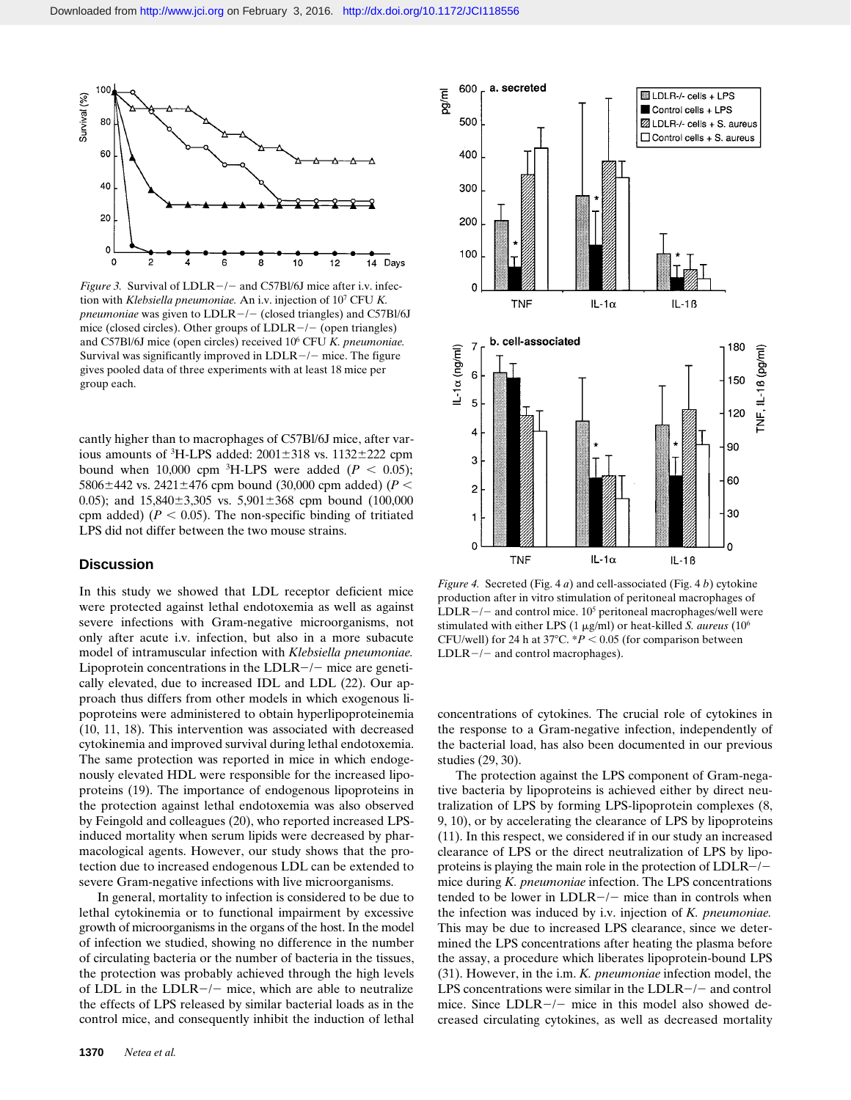

*Figure 3.* Survival of  $LDLR -/-$  and C57Bl/6J mice after i.v. infection with *Klebsiella pneumoniae.* An i.v. injection of 10<sup>7</sup> CFU *K. pneumoniae* was given to  $LDLR-/-$  (closed triangles) and C57Bl/6J mice (closed circles). Other groups of  $LDLR-/-$  (open triangles) and C57Bl/6J mice (open circles) received 10<sup>6</sup> CFU *K. pneumoniae.* Survival was significantly improved in  $LDLR-/-$  mice. The figure gives pooled data of three experiments with at least 18 mice per group each.

cantly higher than to macrophages of C57Bl/6J mice, after various amounts of  ${}^{3}$ H-LPS added: 2001 $\pm$ 318 vs. 1132 $\pm$ 222 cpm bound when 10,000 cpm <sup>3</sup>H-LPS were added ( $P < 0.05$ ); 5806 $\pm$ 442 vs. 2421 $\pm$ 476 cpm bound (30,000 cpm added) (*P* < 0.05); and  $15,840\pm3,305$  vs.  $5,901\pm368$  cpm bound (100,000 cpm added) ( $P < 0.05$ ). The non-specific binding of tritiated LPS did not differ between the two mouse strains.

# **Discussion**

In this study we showed that LDL receptor deficient mice were protected against lethal endotoxemia as well as against severe infections with Gram-negative microorganisms, not only after acute i.v. infection, but also in a more subacute model of intramuscular infection with *Klebsiella pneumoniae.* Lipoprotein concentrations in the LDLR $-/-$  mice are genetically elevated, due to increased IDL and LDL (22). Our approach thus differs from other models in which exogenous lipoproteins were administered to obtain hyperlipoproteinemia (10, 11, 18). This intervention was associated with decreased cytokinemia and improved survival during lethal endotoxemia. The same protection was reported in mice in which endogenously elevated HDL were responsible for the increased lipoproteins (19). The importance of endogenous lipoproteins in the protection against lethal endotoxemia was also observed by Feingold and colleagues (20), who reported increased LPSinduced mortality when serum lipids were decreased by pharmacological agents. However, our study shows that the protection due to increased endogenous LDL can be extended to severe Gram-negative infections with live microorganisms.

In general, mortality to infection is considered to be due to lethal cytokinemia or to functional impairment by excessive growth of microorganisms in the organs of the host. In the model of infection we studied, showing no difference in the number of circulating bacteria or the number of bacteria in the tissues, the protection was probably achieved through the high levels of LDL in the LDLR $-/-$  mice, which are able to neutralize the effects of LPS released by similar bacterial loads as in the control mice, and consequently inhibit the induction of lethal



*Figure 4.* Secreted (Fig. 4 *a*) and cell-associated (Fig. 4 *b*) cytokine production after in vitro stimulation of peritoneal macrophages of  $LDLR - / -$  and control mice. 10<sup>5</sup> peritoneal macrophages/well were stimulated with either LPS (1 mg/ml) or heat-killed *S. aureus* (10<sup>6</sup> CFU/well) for 24 h at  $37^{\circ}$ C.  $*P < 0.05$  (for comparison between  $LDLR-/-$  and control macrophages).

concentrations of cytokines. The crucial role of cytokines in the response to a Gram-negative infection, independently of the bacterial load, has also been documented in our previous studies (29, 30).

The protection against the LPS component of Gram-negative bacteria by lipoproteins is achieved either by direct neutralization of LPS by forming LPS-lipoprotein complexes (8, 9, 10), or by accelerating the clearance of LPS by lipoproteins (11). In this respect, we considered if in our study an increased clearance of LPS or the direct neutralization of LPS by lipoproteins is playing the main role in the protection of  $LDLR-/$ mice during *K. pneumoniae* infection. The LPS concentrations tended to be lower in  $LDLR-/-$  mice than in controls when the infection was induced by i.v. injection of *K. pneumoniae.* This may be due to increased LPS clearance, since we determined the LPS concentrations after heating the plasma before the assay, a procedure which liberates lipoprotein-bound LPS (31). However, in the i.m. *K. pneumoniae* infection model, the LPS concentrations were similar in the  $LDLR-/-$  and control mice. Since  $LDLR-/-$  mice in this model also showed decreased circulating cytokines, as well as decreased mortality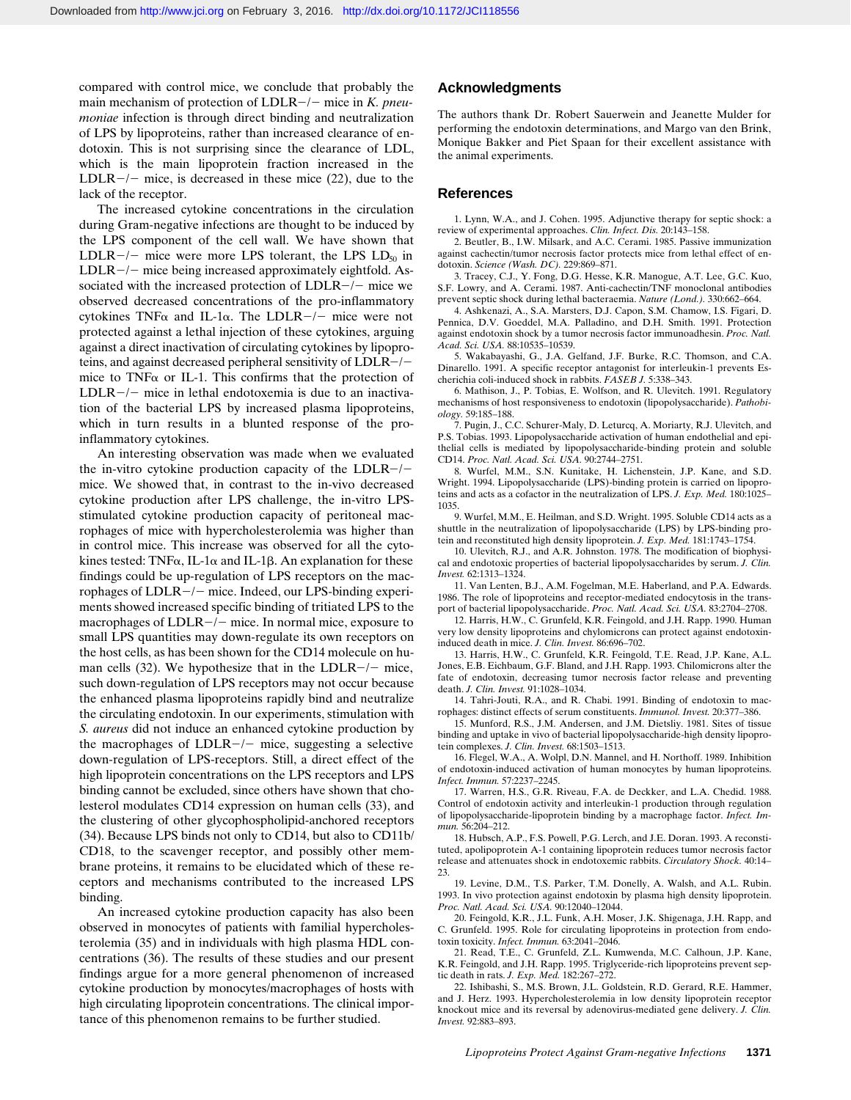compared with control mice, we conclude that probably the main mechanism of protection of LDLR-/- mice in *K. pneumoniae* infection is through direct binding and neutralization of LPS by lipoproteins, rather than increased clearance of endotoxin. This is not surprising since the clearance of LDL, which is the main lipoprotein fraction increased in the LDLR $-/-$  mice, is decreased in these mice (22), due to the lack of the receptor.

The increased cytokine concentrations in the circulation during Gram-negative infections are thought to be induced by the LPS component of the cell wall. We have shown that LDLR $-/-$  mice were more LPS tolerant, the LPS LD<sub>50</sub> in  $LDLR-/-$  mice being increased approximately eightfold. Associated with the increased protection of  $LDLR-/-$  mice we observed decreased concentrations of the pro-inflammatory cytokines TNF $\alpha$  and IL-1 $\alpha$ . The LDLR-/- mice were not protected against a lethal injection of these cytokines, arguing against a direct inactivation of circulating cytokines by lipoproteins, and against decreased peripheral sensitivity of  $LDLR-/$ mice to TNF $\alpha$  or IL-1. This confirms that the protection of  $LDLR-/-$  mice in lethal endotoxemia is due to an inactivation of the bacterial LPS by increased plasma lipoproteins, which in turn results in a blunted response of the proinflammatory cytokines.

An interesting observation was made when we evaluated the in-vitro cytokine production capacity of the LDLR $-/$ mice. We showed that, in contrast to the in-vivo decreased cytokine production after LPS challenge, the in-vitro LPSstimulated cytokine production capacity of peritoneal macrophages of mice with hypercholesterolemia was higher than in control mice. This increase was observed for all the cytokines tested: TNF $\alpha$ , IL-1 $\alpha$  and IL-1 $\beta$ . An explanation for these findings could be up-regulation of LPS receptors on the macrophages of  $LDLR-/-$  mice. Indeed, our LPS-binding experiments showed increased specific binding of tritiated LPS to the macrophages of  $LDLR-/-$  mice. In normal mice, exposure to small LPS quantities may down-regulate its own receptors on the host cells, as has been shown for the CD14 molecule on human cells (32). We hypothesize that in the LDLR $-/-$  mice, such down-regulation of LPS receptors may not occur because the enhanced plasma lipoproteins rapidly bind and neutralize the circulating endotoxin. In our experiments, stimulation with *S. aureus* did not induce an enhanced cytokine production by the macrophages of  $LDLR-/-$  mice, suggesting a selective down-regulation of LPS-receptors. Still, a direct effect of the high lipoprotein concentrations on the LPS receptors and LPS binding cannot be excluded, since others have shown that cholesterol modulates CD14 expression on human cells (33), and the clustering of other glycophospholipid-anchored receptors (34). Because LPS binds not only to CD14, but also to CD11b/ CD18, to the scavenger receptor, and possibly other membrane proteins, it remains to be elucidated which of these receptors and mechanisms contributed to the increased LPS binding.

An increased cytokine production capacity has also been observed in monocytes of patients with familial hypercholesterolemia (35) and in individuals with high plasma HDL concentrations (36). The results of these studies and our present findings argue for a more general phenomenon of increased cytokine production by monocytes/macrophages of hosts with high circulating lipoprotein concentrations. The clinical importance of this phenomenon remains to be further studied.

## **Acknowledgments**

The authors thank Dr. Robert Sauerwein and Jeanette Mulder for performing the endotoxin determinations, and Margo van den Brink, Monique Bakker and Piet Spaan for their excellent assistance with the animal experiments.

#### **References**

1. Lynn, W.A., and J. Cohen. 1995. Adjunctive therapy for septic shock: a review of experimental approaches. *Clin. Infect. Dis.* 20:143–158.

2. Beutler, B., I.W. Milsark, and A.C. Cerami. 1985. Passive immunization against cachectin/tumor necrosis factor protects mice from lethal effect of endotoxin. *Science (Wash. DC).* 229:869–871.

3. Tracey, C.J., Y. Fong, D.G. Hesse, K.R. Manogue, A.T. Lee, G.C. Kuo, S.F. Lowry, and A. Cerami. 1987. Anti-cachectin/TNF monoclonal antibodies prevent septic shock during lethal bacteraemia. *Nature (Lond.).* 330:662–664.

4. Ashkenazi, A., S.A. Marsters, D.J. Capon, S.M. Chamow, I.S. Figari, D. Pennica, D.V. Goeddel, M.A. Palladino, and D.H. Smith. 1991. Protection against endotoxin shock by a tumor necrosis factor immunoadhesin. *Proc. Natl. Acad. Sci. USA.* 88:10535–10539.

5. Wakabayashi, G., J.A. Gelfand, J.F. Burke, R.C. Thomson, and C.A. Dinarello. 1991. A specific receptor antagonist for interleukin-1 prevents Escherichia coli-induced shock in rabbits. *FASEB J.* 5:338–343.

6. Mathison, J., P. Tobias, E. Wolfson, and R. Ulevitch. 1991. Regulatory mechanisms of host responsiveness to endotoxin (lipopolysaccharide). *Pathobiology.* 59:185–188.

7. Pugin, J., C.C. Schurer-Maly, D. Leturcq, A. Moriarty, R.J. Ulevitch, and P.S. Tobias. 1993. Lipopolysaccharide activation of human endothelial and epithelial cells is mediated by lipopolysaccharide-binding protein and soluble CD14. *Proc. Natl. Acad. Sci. USA.* 90:2744–2751.

8. Wurfel, M.M., S.N. Kunitake, H. Lichenstein, J.P. Kane, and S.D. Wright. 1994. Lipopolysaccharide (LPS)-binding protein is carried on lipoproteins and acts as a cofactor in the neutralization of LPS. *J. Exp. Med.* 180:1025– 1035.

9. Wurfel, M.M., E. Heilman, and S.D. Wright. 1995. Soluble CD14 acts as a shuttle in the neutralization of lipopolysaccharide (LPS) by LPS-binding protein and reconstituted high density lipoprotein. *J. Exp. Med.* 181:1743–1754.

10. Ulevitch, R.J., and A.R. Johnston. 1978. The modification of biophysical and endotoxic properties of bacterial lipopolysaccharides by serum. *J. Clin. Invest.* 62:1313–1324.

11. Van Lenten, B.J., A.M. Fogelman, M.E. Haberland, and P.A. Edwards. 1986. The role of lipoproteins and receptor-mediated endocytosis in the transport of bacterial lipopolysaccharide. *Proc. Natl. Acad. Sci. USA.* 83:2704–2708.

12. Harris, H.W., C. Grunfeld, K.R. Feingold, and J.H. Rapp. 1990. Human very low density lipoproteins and chylomicrons can protect against endotoxininduced death in mice. *J. Clin. Invest.* 86:696–702.

13. Harris, H.W., C. Grunfeld, K.R. Feingold, T.E. Read, J.P. Kane, A.L. Jones, E.B. Eichbaum, G.F. Bland, and J.H. Rapp. 1993. Chilomicrons alter the fate of endotoxin, decreasing tumor necrosis factor release and preventing death. *J. Clin. Invest.* 91:1028–1034.

14. Tahri-Jouti, R.A., and R. Chabi. 1991. Binding of endotoxin to macrophages: distinct effects of serum constituents. *Immunol. Invest.* 20:377–386.

15. Munford, R.S., J.M. Andersen, and J.M. Dietsliy. 1981. Sites of tissue binding and uptake in vivo of bacterial lipopolysaccharide-high density lipoprotein complexes. *J. Clin. Invest.* 68:1503–1513.

16. Flegel, W.A., A. Wolpl, D.N. Mannel, and H. Northoff. 1989. Inhibition of endotoxin-induced activation of human monocytes by human lipoproteins. *Infect. Immun.* 57:2237–2245.

17. Warren, H.S., G.R. Riveau, F.A. de Deckker, and L.A. Chedid. 1988. Control of endotoxin activity and interleukin-1 production through regulation of lipopolysaccharide-lipoprotein binding by a macrophage factor. *Infect. Immun.* 56:204–212.

18. Hubsch, A.P., F.S. Powell, P.G. Lerch, and J.E. Doran. 1993. A reconstituted, apolipoprotein A-1 containing lipoprotein reduces tumor necrosis factor release and attenuates shock in endotoxemic rabbits. *Circulatory Shock.* 40:14– 23.

19. Levine, D.M., T.S. Parker, T.M. Donelly, A. Walsh, and A.L. Rubin. 1993. In vivo protection against endotoxin by plasma high density lipoprotein. *Proc. Natl. Acad. Sci. USA.* 90:12040–12044.

20. Feingold, K.R., J.L. Funk, A.H. Moser, J.K. Shigenaga, J.H. Rapp, and C. Grunfeld. 1995. Role for circulating lipoproteins in protection from endotoxin toxicity. *Infect. Immun.* 63:2041–2046.

21. Read, T.E., C. Grunfeld, Z.L. Kumwenda, M.C. Calhoun, J.P. Kane, K.R. Feingold, and J.H. Rapp. 1995. Triglyceride-rich lipoproteins prevent septic death in rats. *J. Exp. Med.* 182:267–272.

22. Ishibashi, S., M.S. Brown, J.L. Goldstein, R.D. Gerard, R.E. Hammer, and J. Herz. 1993. Hypercholesterolemia in low density lipoprotein receptor knockout mice and its reversal by adenovirus-mediated gene delivery. *J. Clin. Invest.* 92:883–893.